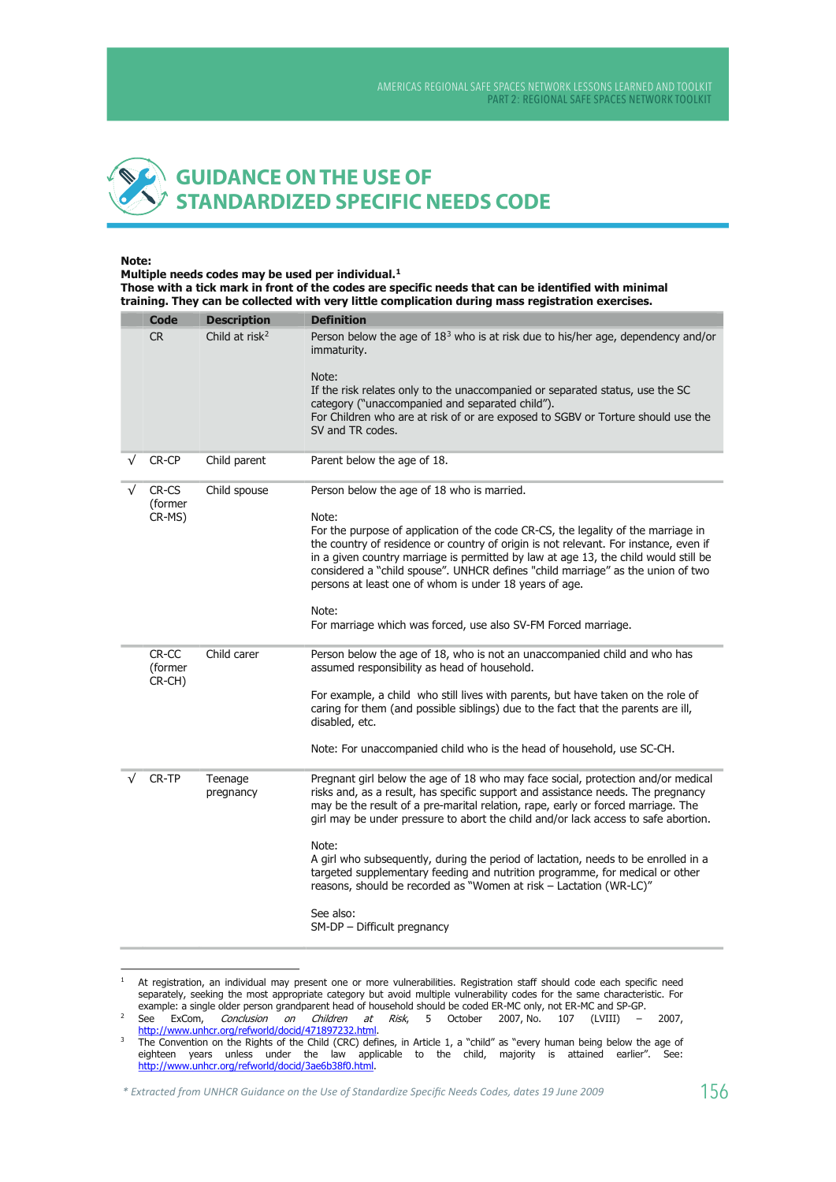## **GUIDANCE ON THE USE OF STANDARDIZED SPECIFIC NEEDS CODE**

## Note:

Multiple needs codes may be used per individual.<sup>1</sup> Those with a tick mark in front of the codes are specific needs that can be identified with minimal training. They can be collected with very little complication during mass registration exercises.

| <b>Code</b>                | <b>Description</b>         | <b>Definition</b>                                                                                                                                                                                                                                                                                                                                                                                                                                                                                                                                                                                                                               |
|----------------------------|----------------------------|-------------------------------------------------------------------------------------------------------------------------------------------------------------------------------------------------------------------------------------------------------------------------------------------------------------------------------------------------------------------------------------------------------------------------------------------------------------------------------------------------------------------------------------------------------------------------------------------------------------------------------------------------|
| <b>CR</b>                  | Child at risk <sup>2</sup> | Person below the age of $183$ who is at risk due to his/her age, dependency and/or<br>immaturity.<br>Note:<br>If the risk relates only to the unaccompanied or separated status, use the SC<br>category ("unaccompanied and separated child").<br>For Children who are at risk of or are exposed to SGBV or Torture should use the<br>SV and TR codes.                                                                                                                                                                                                                                                                                          |
| CR-CP                      | Child parent               | Parent below the age of 18.                                                                                                                                                                                                                                                                                                                                                                                                                                                                                                                                                                                                                     |
| CR-CS<br>(former<br>CR-MS) | Child spouse               | Person below the age of 18 who is married.<br>Note:<br>For the purpose of application of the code CR-CS, the legality of the marriage in<br>the country of residence or country of origin is not relevant. For instance, even if<br>in a given country marriage is permitted by law at age 13, the child would still be<br>considered a "child spouse". UNHCR defines "child marriage" as the union of two<br>persons at least one of whom is under 18 years of age.<br>Note:<br>For marriage which was forced, use also SV-FM Forced marriage.                                                                                                 |
| CR-CC<br>(former<br>CR-CH) | Child carer                | Person below the age of 18, who is not an unaccompanied child and who has<br>assumed responsibility as head of household.<br>For example, a child who still lives with parents, but have taken on the role of<br>caring for them (and possible siblings) due to the fact that the parents are ill,<br>disabled, etc.<br>Note: For unaccompanied child who is the head of household, use SC-CH.                                                                                                                                                                                                                                                  |
| CR-TP                      | Teenage<br>pregnancy       | Pregnant girl below the age of 18 who may face social, protection and/or medical<br>risks and, as a result, has specific support and assistance needs. The pregnancy<br>may be the result of a pre-marital relation, rape, early or forced marriage. The<br>girl may be under pressure to abort the child and/or lack access to safe abortion.<br>Note:<br>A girl who subsequently, during the period of lactation, needs to be enrolled in a<br>targeted supplementary feeding and nutrition programme, for medical or other<br>reasons, should be recorded as "Women at risk - Lactation (WR-LC)"<br>See also:<br>SM-DP - Difficult pregnancy |

At registration, an individual may present one or more vulnerabilities. Registration staff should code each specific need<br>separately, seeking the most appropriate category but avoid multiple vulnerability codes for the sam  $\overline{1}$ example: a single older person grandparent head of household should be coded ER-MC only, not ER-MC and SP-GP.

See ExCom, Conclusion on Children at Risk, 5 October<br>http://www.unhcr.org/refworld/docid/471897232.html.  $\overline{2}$ (LVIII) 2007, No. 2007, 107

 $\overline{\mathbf{3}}$ The Convention on the Rights of the Child (CRC) defines, in Article 1, a "child" as "every human being below the age of eighteen years unless under the law applicable to the child, majority is attained earlier". See: http://www.unhcr.org/refworld/docid/3ae6b38f0.html.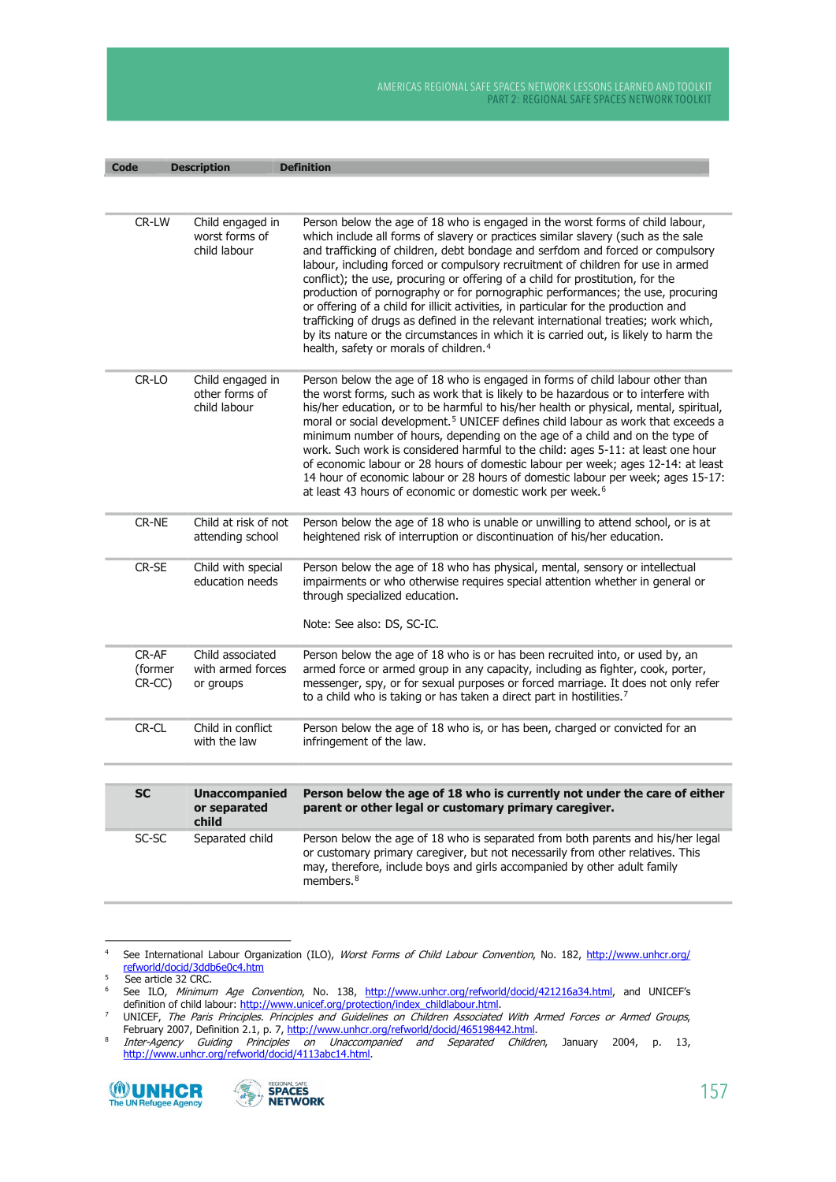| <b>Code</b>                   | <b>Description</b>                                 | <b>Definition</b>                                                                                                                                                                                                                                                                                                                                                                                                                                                                                                                                                                                                                                                                                                                                                                                                                       |
|-------------------------------|----------------------------------------------------|-----------------------------------------------------------------------------------------------------------------------------------------------------------------------------------------------------------------------------------------------------------------------------------------------------------------------------------------------------------------------------------------------------------------------------------------------------------------------------------------------------------------------------------------------------------------------------------------------------------------------------------------------------------------------------------------------------------------------------------------------------------------------------------------------------------------------------------------|
|                               |                                                    |                                                                                                                                                                                                                                                                                                                                                                                                                                                                                                                                                                                                                                                                                                                                                                                                                                         |
| CR-LW                         | Child engaged in<br>worst forms of<br>child labour | Person below the age of 18 who is engaged in the worst forms of child labour,<br>which include all forms of slavery or practices similar slavery (such as the sale<br>and trafficking of children, debt bondage and serfdom and forced or compulsory<br>labour, including forced or compulsory recruitment of children for use in armed<br>conflict); the use, procuring or offering of a child for prostitution, for the<br>production of pornography or for pornographic performances; the use, procuring<br>or offering of a child for illicit activities, in particular for the production and<br>trafficking of drugs as defined in the relevant international treaties; work which,<br>by its nature or the circumstances in which it is carried out, is likely to harm the<br>health, safety or morals of children. <sup>4</sup> |
| CR-LO                         | Child engaged in<br>other forms of<br>child labour | Person below the age of 18 who is engaged in forms of child labour other than<br>the worst forms, such as work that is likely to be hazardous or to interfere with<br>his/her education, or to be harmful to his/her health or physical, mental, spiritual,<br>moral or social development. <sup>5</sup> UNICEF defines child labour as work that exceeds a<br>minimum number of hours, depending on the age of a child and on the type of<br>work. Such work is considered harmful to the child: ages 5-11: at least one hour<br>of economic labour or 28 hours of domestic labour per week; ages 12-14: at least<br>14 hour of economic labour or 28 hours of domestic labour per week; ages 15-17:<br>at least 43 hours of economic or domestic work per week. <sup>6</sup>                                                          |
| CR-NE                         | Child at risk of not<br>attending school           | Person below the age of 18 who is unable or unwilling to attend school, or is at<br>heightened risk of interruption or discontinuation of his/her education.                                                                                                                                                                                                                                                                                                                                                                                                                                                                                                                                                                                                                                                                            |
| CR-SE                         | Child with special<br>education needs              | Person below the age of 18 who has physical, mental, sensory or intellectual<br>impairments or who otherwise requires special attention whether in general or<br>through specialized education.<br>Note: See also: DS, SC-IC.                                                                                                                                                                                                                                                                                                                                                                                                                                                                                                                                                                                                           |
| $CR-AF$<br>(former<br>$CR-CC$ | Child associated<br>with armed forces<br>or groups | Person below the age of 18 who is or has been recruited into, or used by, an<br>armed force or armed group in any capacity, including as fighter, cook, porter,<br>messenger, spy, or for sexual purposes or forced marriage. It does not only refer<br>to a child who is taking or has taken a direct part in hostilities. <sup>7</sup>                                                                                                                                                                                                                                                                                                                                                                                                                                                                                                |
| CR-CL                         | Child in conflict<br>with the law                  | Person below the age of 18 who is, or has been, charged or convicted for an<br>infringement of the law.                                                                                                                                                                                                                                                                                                                                                                                                                                                                                                                                                                                                                                                                                                                                 |
|                               |                                                    |                                                                                                                                                                                                                                                                                                                                                                                                                                                                                                                                                                                                                                                                                                                                                                                                                                         |
| <b>SC</b>                     | <b>Unaccompanied</b><br>or separated<br>child      | Person below the age of 18 who is currently not under the care of either<br>parent or other legal or customary primary caregiver.                                                                                                                                                                                                                                                                                                                                                                                                                                                                                                                                                                                                                                                                                                       |
| SC-SC                         | Separated child                                    | Person below the age of 18 who is separated from both parents and his/her legal<br>or customary primary caregiver, but not necessarily from other relatives. This<br>may, therefore, include boys and girls accompanied by other adult family<br>members. $8$                                                                                                                                                                                                                                                                                                                                                                                                                                                                                                                                                                           |

 $\overline{4}$ See International Labour Organization (ILO), Worst Forms of Child Labour Convention, No. 182, http://www.unhcr.org/ refworld/docid/3ddb6e0c4.htm

 $\overline{\mathbf{8}}$ 





 $\sqrt{5}$ See article 32 CRC.

 $\overline{6}$ See ILO, Minimum Age Convention, No. 138, http://www.unhcr.org/refworld/docid/421216a34.html, and UNICEF's definition of child labour: http://www.unicef.org/protection/index\_childlabour.html.

deminion of this change of the change of Children Associated With Armed Forces or Armed Groups,<br>UNICEF, The Paris Principles. Principles and Guidelines on Children Associated With Armed Forces or Armed Groups,<br>February 200  $\overline{z}$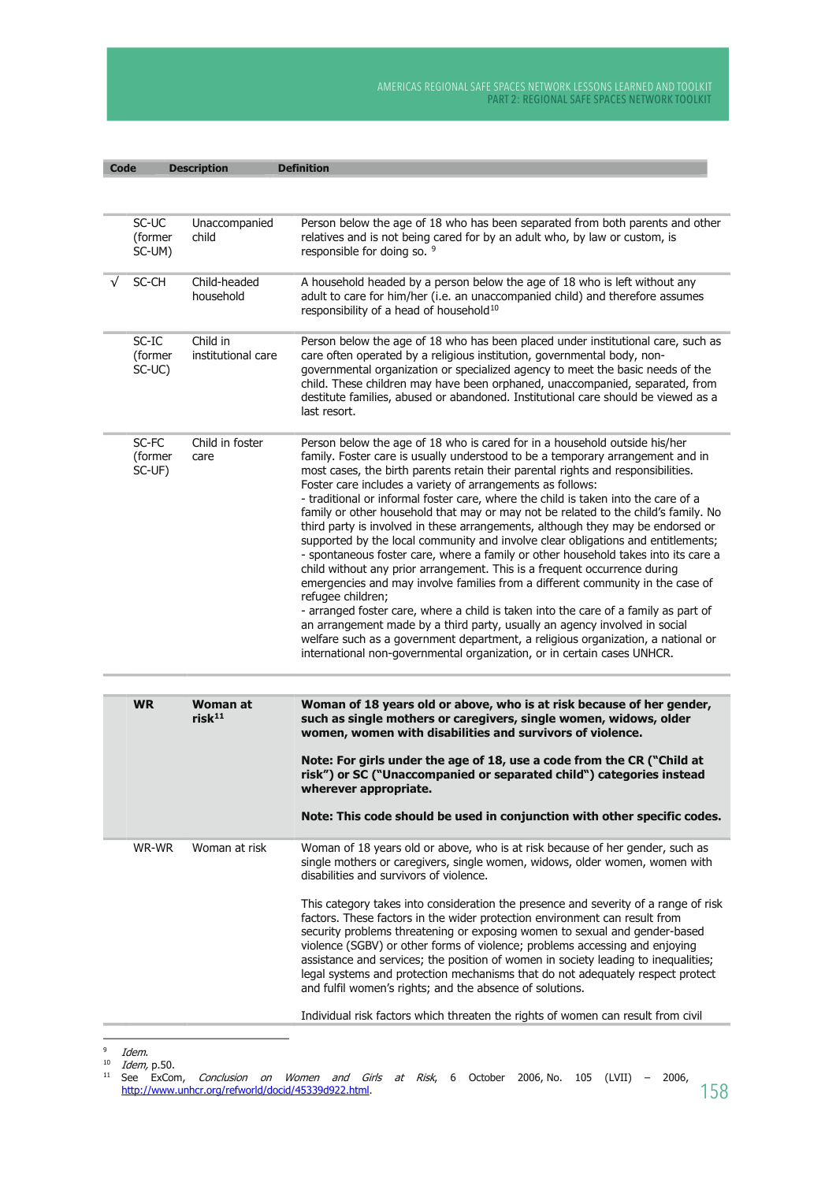| Code |                            | <b>Description</b>                    | <b>Definition</b>                                                                                                                                                                                                                                                                                                                                                                                                                                                                                                                                                                                                                                                                                                                                                                                                                                                                                                                                                                                                                                                                                                                                                                                                                                                               |
|------|----------------------------|---------------------------------------|---------------------------------------------------------------------------------------------------------------------------------------------------------------------------------------------------------------------------------------------------------------------------------------------------------------------------------------------------------------------------------------------------------------------------------------------------------------------------------------------------------------------------------------------------------------------------------------------------------------------------------------------------------------------------------------------------------------------------------------------------------------------------------------------------------------------------------------------------------------------------------------------------------------------------------------------------------------------------------------------------------------------------------------------------------------------------------------------------------------------------------------------------------------------------------------------------------------------------------------------------------------------------------|
|      |                            |                                       |                                                                                                                                                                                                                                                                                                                                                                                                                                                                                                                                                                                                                                                                                                                                                                                                                                                                                                                                                                                                                                                                                                                                                                                                                                                                                 |
|      | SC-UC<br>(former<br>SC-UM) | Unaccompanied<br>child                | Person below the age of 18 who has been separated from both parents and other<br>relatives and is not being cared for by an adult who, by law or custom, is<br>responsible for doing so. 9                                                                                                                                                                                                                                                                                                                                                                                                                                                                                                                                                                                                                                                                                                                                                                                                                                                                                                                                                                                                                                                                                      |
|      | SC-CH                      | Child-headed<br>household             | A household headed by a person below the age of 18 who is left without any<br>adult to care for him/her (i.e. an unaccompanied child) and therefore assumes<br>responsibility of a head of household <sup>10</sup>                                                                                                                                                                                                                                                                                                                                                                                                                                                                                                                                                                                                                                                                                                                                                                                                                                                                                                                                                                                                                                                              |
|      | SC-IC<br>(former<br>SC-UC) | Child in<br>institutional care        | Person below the age of 18 who has been placed under institutional care, such as<br>care often operated by a religious institution, governmental body, non-<br>governmental organization or specialized agency to meet the basic needs of the<br>child. These children may have been orphaned, unaccompanied, separated, from<br>destitute families, abused or abandoned. Institutional care should be viewed as a<br>last resort.                                                                                                                                                                                                                                                                                                                                                                                                                                                                                                                                                                                                                                                                                                                                                                                                                                              |
|      | SC-FC<br>(former<br>SC-UF) | Child in foster<br>care               | Person below the age of 18 who is cared for in a household outside his/her<br>family. Foster care is usually understood to be a temporary arrangement and in<br>most cases, the birth parents retain their parental rights and responsibilities.<br>Foster care includes a variety of arrangements as follows:<br>- traditional or informal foster care, where the child is taken into the care of a<br>family or other household that may or may not be related to the child's family. No<br>third party is involved in these arrangements, although they may be endorsed or<br>supported by the local community and involve clear obligations and entitlements;<br>- spontaneous foster care, where a family or other household takes into its care a<br>child without any prior arrangement. This is a frequent occurrence during<br>emergencies and may involve families from a different community in the case of<br>refugee children;<br>- arranged foster care, where a child is taken into the care of a family as part of<br>an arrangement made by a third party, usually an agency involved in social<br>welfare such as a government department, a religious organization, a national or<br>international non-governmental organization, or in certain cases UNHCR. |
|      | <b>WR</b>                  | <b>Woman at</b><br>risk <sup>11</sup> | Woman of 18 years old or above, who is at risk because of her gender,<br>such as single mothers or caregivers, single women, widows, older<br>women, women with disabilities and survivors of violence.                                                                                                                                                                                                                                                                                                                                                                                                                                                                                                                                                                                                                                                                                                                                                                                                                                                                                                                                                                                                                                                                         |
|      |                            |                                       | Note: For girls under the age of 18, use a code from the CR ("Child at<br>risk") or SC ("Unaccompanied or separated child") categories instead<br>wherever appropriate.<br>Note: This code should be used in conjunction with other specific codes.                                                                                                                                                                                                                                                                                                                                                                                                                                                                                                                                                                                                                                                                                                                                                                                                                                                                                                                                                                                                                             |
|      |                            |                                       |                                                                                                                                                                                                                                                                                                                                                                                                                                                                                                                                                                                                                                                                                                                                                                                                                                                                                                                                                                                                                                                                                                                                                                                                                                                                                 |
|      | WR-WR                      | Woman at risk                         | Woman of 18 years old or above, who is at risk because of her gender, such as<br>single mothers or caregivers, single women, widows, older women, women with<br>disabilities and survivors of violence.                                                                                                                                                                                                                                                                                                                                                                                                                                                                                                                                                                                                                                                                                                                                                                                                                                                                                                                                                                                                                                                                         |
|      |                            |                                       | This category takes into consideration the presence and severity of a range of risk<br>factors. These factors in the wider protection environment can result from<br>security problems threatening or exposing women to sexual and gender-based<br>violence (SGBV) or other forms of violence; problems accessing and enjoying<br>assistance and services; the position of women in society leading to inequalities;<br>legal systems and protection mechanisms that do not adequately respect protect<br>and fulfil women's rights; and the absence of solutions.                                                                                                                                                                                                                                                                                                                                                                                                                                                                                                                                                                                                                                                                                                              |
|      |                            |                                       | Individual risk factors which threaten the rights of women can result from civil                                                                                                                                                                                                                                                                                                                                                                                                                                                                                                                                                                                                                                                                                                                                                                                                                                                                                                                                                                                                                                                                                                                                                                                                |

 $\overline{9}$ Idem.

<sup>10</sup> *Idem,* p.50.<br><sup>10</sup> *Idem,* p.50.<br><sup>11</sup> See ExCom, *Conclusion on Women and Girls at Risk*, 6 October 2006, No. 105 (LVII) – 2006,<br>http://www.unhcr.org/refworld/docid/45339d922.html. 158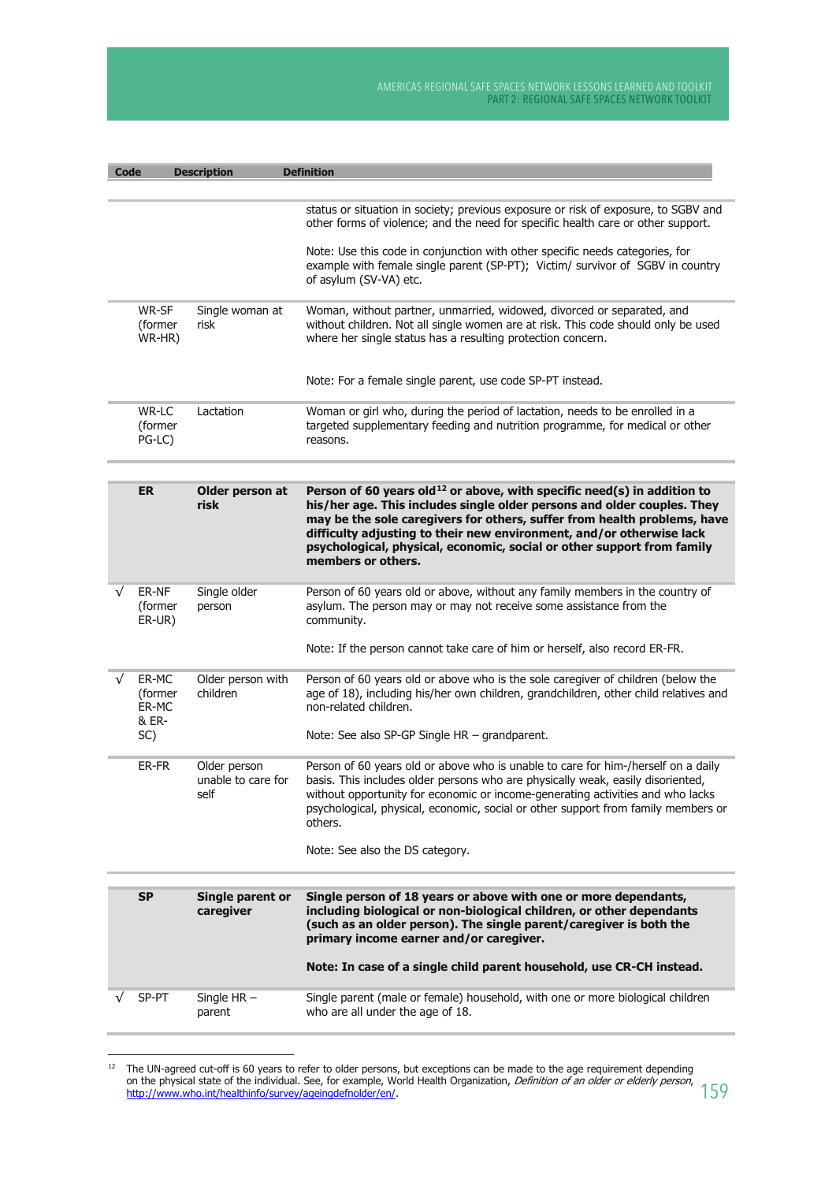| <b>Code</b> |                                    | <b>Description</b>                         | <b>Definition</b>                                                                                                                                                                                                                                                                                                                                                                                                  |
|-------------|------------------------------------|--------------------------------------------|--------------------------------------------------------------------------------------------------------------------------------------------------------------------------------------------------------------------------------------------------------------------------------------------------------------------------------------------------------------------------------------------------------------------|
|             |                                    |                                            |                                                                                                                                                                                                                                                                                                                                                                                                                    |
|             |                                    |                                            | status or situation in society; previous exposure or risk of exposure, to SGBV and<br>other forms of violence; and the need for specific health care or other support.                                                                                                                                                                                                                                             |
|             |                                    |                                            | Note: Use this code in conjunction with other specific needs categories, for<br>example with female single parent (SP-PT); Victim/ survivor of SGBV in country<br>of asylum (SV-VA) etc.                                                                                                                                                                                                                           |
|             | WR-SF<br>(former<br>WR-HR)         | Single woman at<br>risk                    | Woman, without partner, unmarried, widowed, divorced or separated, and<br>without children. Not all single women are at risk. This code should only be used<br>where her single status has a resulting protection concern.                                                                                                                                                                                         |
|             |                                    |                                            | Note: For a female single parent, use code SP-PT instead.                                                                                                                                                                                                                                                                                                                                                          |
|             | WR-LC<br>(former<br>PG-LC)         | Lactation                                  | Woman or girl who, during the period of lactation, needs to be enrolled in a<br>targeted supplementary feeding and nutrition programme, for medical or other<br>reasons.                                                                                                                                                                                                                                           |
|             | ER                                 | Older person at<br>risk                    | Person of 60 years old <sup>12</sup> or above, with specific need(s) in addition to<br>his/her age. This includes single older persons and older couples. They<br>may be the sole caregivers for others, suffer from health problems, have<br>difficulty adjusting to their new environment, and/or otherwise lack<br>psychological, physical, economic, social or other support from family<br>members or others. |
| √           | ER-NF<br>(former<br>ER-UR)         | Single older<br>person                     | Person of 60 years old or above, without any family members in the country of<br>asylum. The person may or may not receive some assistance from the<br>community.                                                                                                                                                                                                                                                  |
|             |                                    |                                            | Note: If the person cannot take care of him or herself, also record ER-FR.                                                                                                                                                                                                                                                                                                                                         |
|             | ER-MC<br>(former<br>ER-MC<br>& ER- | Older person with<br>children              | Person of 60 years old or above who is the sole caregiver of children (below the<br>age of 18), including his/her own children, grandchildren, other child relatives and<br>non-related children.                                                                                                                                                                                                                  |
|             | SC)                                |                                            | Note: See also SP-GP Single HR - grandparent.                                                                                                                                                                                                                                                                                                                                                                      |
|             | ER-FR                              | Older person<br>unable to care for<br>self | Person of 60 years old or above who is unable to care for him-/herself on a daily<br>basis. This includes older persons who are physically weak, easily disoriented,<br>without opportunity for economic or income-generating activities and who lacks<br>psychological, physical, economic, social or other support from family members or<br>others.                                                             |
|             |                                    |                                            | Note: See also the DS category.                                                                                                                                                                                                                                                                                                                                                                                    |
|             | <b>SP</b>                          | Single parent or                           | Single person of 18 years or above with one or more dependants,                                                                                                                                                                                                                                                                                                                                                    |
|             |                                    | caregiver                                  | including biological or non-biological children, or other dependants<br>(such as an older person). The single parent/caregiver is both the<br>primary income earner and/or caregiver.                                                                                                                                                                                                                              |
|             |                                    |                                            | Note: In case of a single child parent household, use CR-CH instead.                                                                                                                                                                                                                                                                                                                                               |
|             | SP-PT                              | Single $HR -$<br>parent                    | Single parent (male or female) household, with one or more biological children<br>who are all under the age of 18.                                                                                                                                                                                                                                                                                                 |

 $12$  The UN-agreed cut-off is 60 years to refer to older persons, but exceptions can be made to the age requirement depending on the physical state of the individual. See, for example, World Health Organization, *Definition of an older or elderly person*, http://www.who.int/healthinfo/survey/ageingdefnolder/en/.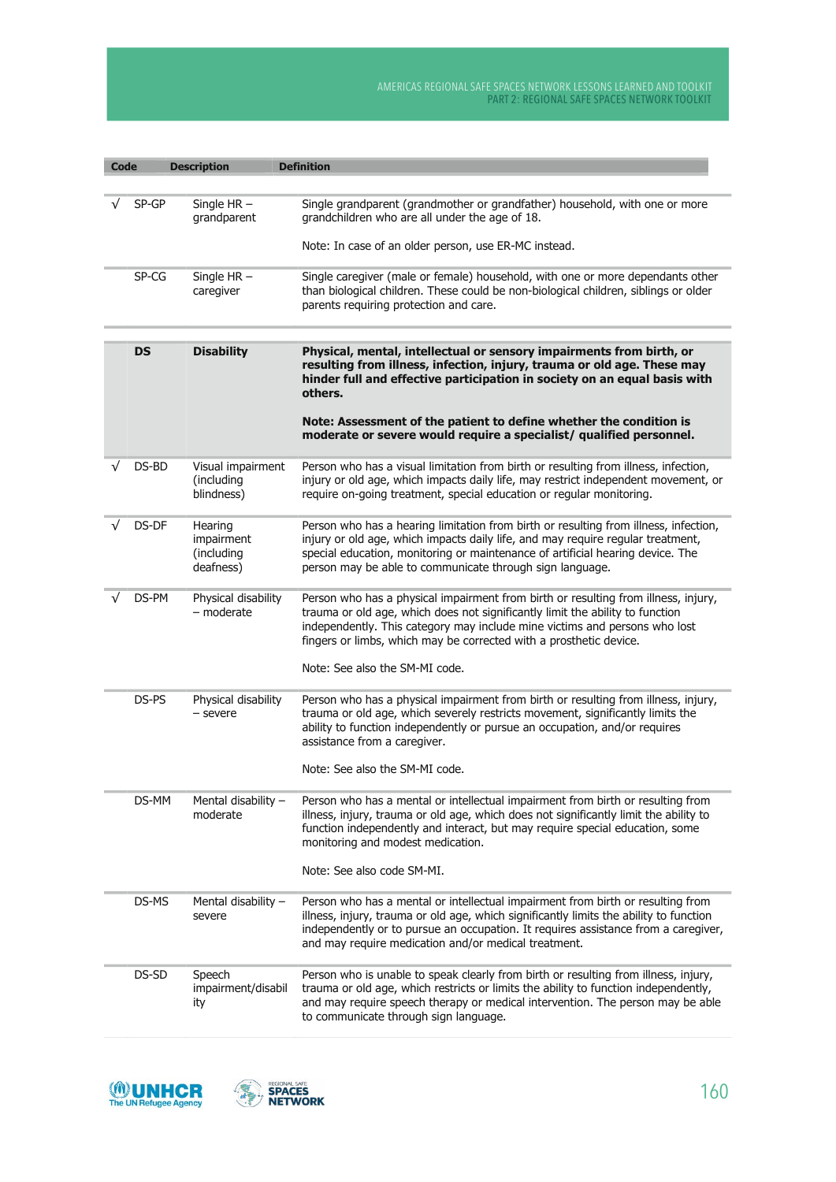| <b>Code</b> |           | <b>Description</b>                               | <b>Definition</b>                                                                                                                                                                                                                                                                                                       |
|-------------|-----------|--------------------------------------------------|-------------------------------------------------------------------------------------------------------------------------------------------------------------------------------------------------------------------------------------------------------------------------------------------------------------------------|
|             |           |                                                  |                                                                                                                                                                                                                                                                                                                         |
|             | $SP-GP$   | Single $HR -$<br>grandparent                     | Single grandparent (grandmother or grandfather) household, with one or more<br>grandchildren who are all under the age of 18.                                                                                                                                                                                           |
|             |           |                                                  | Note: In case of an older person, use ER-MC instead.                                                                                                                                                                                                                                                                    |
|             | SP-CG     | Single $HR -$<br>caregiver                       | Single caregiver (male or female) household, with one or more dependants other<br>than biological children. These could be non-biological children, siblings or older<br>parents requiring protection and care.                                                                                                         |
|             |           |                                                  |                                                                                                                                                                                                                                                                                                                         |
|             | <b>DS</b> | <b>Disability</b>                                | Physical, mental, intellectual or sensory impairments from birth, or<br>resulting from illness, infection, injury, trauma or old age. These may<br>hinder full and effective participation in society on an equal basis with<br>others.                                                                                 |
|             |           |                                                  | Note: Assessment of the patient to define whether the condition is<br>moderate or severe would require a specialist/ qualified personnel.                                                                                                                                                                               |
| √           | DS-BD     | Visual impairment<br>(including<br>blindness)    | Person who has a visual limitation from birth or resulting from illness, infection,<br>injury or old age, which impacts daily life, may restrict independent movement, or<br>require on-going treatment, special education or regular monitoring.                                                                       |
|             | DS-DF     | Hearing<br>impairment<br>(including<br>deafness) | Person who has a hearing limitation from birth or resulting from illness, infection,<br>injury or old age, which impacts daily life, and may require regular treatment,<br>special education, monitoring or maintenance of artificial hearing device. The<br>person may be able to communicate through sign language.   |
|             | DS-PM     | Physical disability<br>- moderate                | Person who has a physical impairment from birth or resulting from illness, injury,<br>trauma or old age, which does not significantly limit the ability to function<br>independently. This category may include mine victims and persons who lost<br>fingers or limbs, which may be corrected with a prosthetic device. |
|             |           |                                                  | Note: See also the SM-MI code.                                                                                                                                                                                                                                                                                          |
|             | DS-PS     | Physical disability<br>- severe                  | Person who has a physical impairment from birth or resulting from illness, injury,<br>trauma or old age, which severely restricts movement, significantly limits the<br>ability to function independently or pursue an occupation, and/or requires<br>assistance from a caregiver.                                      |
|             |           |                                                  | Note: See also the SM-MI code.                                                                                                                                                                                                                                                                                          |
|             | DS-MM     | Mental disability -<br>moderate                  | Person who has a mental or intellectual impairment from birth or resulting from<br>illness, injury, trauma or old age, which does not significantly limit the ability to<br>function independently and interact, but may require special education, some<br>monitoring and modest medication.                           |
|             |           |                                                  | Note: See also code SM-MI.                                                                                                                                                                                                                                                                                              |
|             | DS-MS     | Mental disability -<br>severe                    | Person who has a mental or intellectual impairment from birth or resulting from<br>illness, injury, trauma or old age, which significantly limits the ability to function<br>independently or to pursue an occupation. It requires assistance from a caregiver,<br>and may require medication and/or medical treatment. |
|             | DS-SD     | Speech<br>impairment/disabil<br>ity              | Person who is unable to speak clearly from birth or resulting from illness, injury,<br>trauma or old age, which restricts or limits the ability to function independently,<br>and may require speech therapy or medical intervention. The person may be able<br>to communicate through sign language.                   |



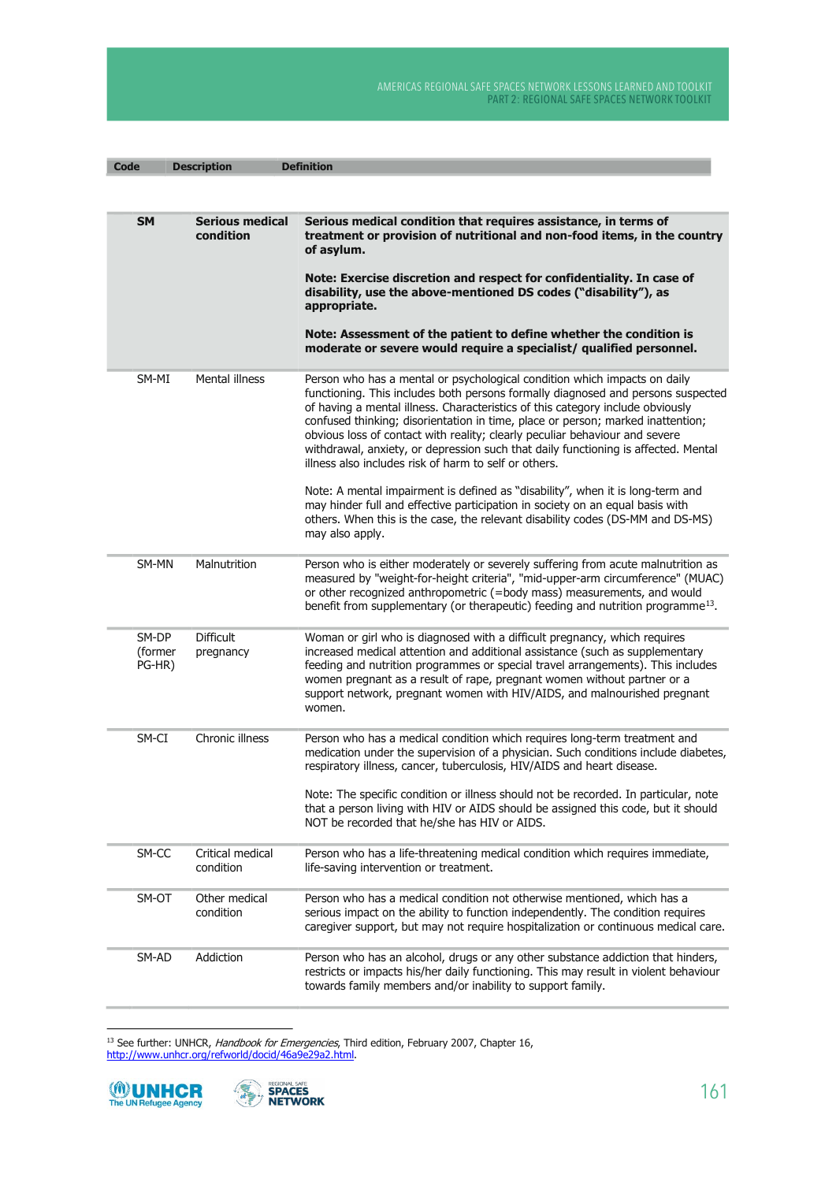| <b>Code</b>                | <b>Description</b>                  | <b>Definition</b>                                                                                                                                                                                                                                                                                                                                                                                                                                                                                                                                                |
|----------------------------|-------------------------------------|------------------------------------------------------------------------------------------------------------------------------------------------------------------------------------------------------------------------------------------------------------------------------------------------------------------------------------------------------------------------------------------------------------------------------------------------------------------------------------------------------------------------------------------------------------------|
|                            |                                     |                                                                                                                                                                                                                                                                                                                                                                                                                                                                                                                                                                  |
| <b>SM</b>                  | <b>Serious medical</b><br>condition | Serious medical condition that requires assistance, in terms of<br>treatment or provision of nutritional and non-food items, in the country<br>of asylum.<br>Note: Exercise discretion and respect for confidentiality. In case of<br>disability, use the above-mentioned DS codes ("disability"), as<br>appropriate.<br>Note: Assessment of the patient to define whether the condition is                                                                                                                                                                      |
|                            |                                     | moderate or severe would require a specialist/ qualified personnel.                                                                                                                                                                                                                                                                                                                                                                                                                                                                                              |
| SM-MI                      | Mental illness                      | Person who has a mental or psychological condition which impacts on daily<br>functioning. This includes both persons formally diagnosed and persons suspected<br>of having a mental illness. Characteristics of this category include obviously<br>confused thinking; disorientation in time, place or person; marked inattention;<br>obvious loss of contact with reality; clearly peculiar behaviour and severe<br>withdrawal, anxiety, or depression such that daily functioning is affected. Mental<br>illness also includes risk of harm to self or others. |
|                            |                                     | Note: A mental impairment is defined as "disability", when it is long-term and<br>may hinder full and effective participation in society on an equal basis with<br>others. When this is the case, the relevant disability codes (DS-MM and DS-MS)<br>may also apply.                                                                                                                                                                                                                                                                                             |
| SM-MN                      | Malnutrition                        | Person who is either moderately or severely suffering from acute malnutrition as<br>measured by "weight-for-height criteria", "mid-upper-arm circumference" (MUAC)<br>or other recognized anthropometric (=body mass) measurements, and would<br>benefit from supplementary (or therapeutic) feeding and nutrition programme <sup>13</sup> .                                                                                                                                                                                                                     |
| SM-DP<br>(former<br>PG-HR) | <b>Difficult</b><br>pregnancy       | Woman or girl who is diagnosed with a difficult pregnancy, which requires<br>increased medical attention and additional assistance (such as supplementary<br>feeding and nutrition programmes or special travel arrangements). This includes<br>women pregnant as a result of rape, pregnant women without partner or a<br>support network, pregnant women with HIV/AIDS, and malnourished pregnant<br>women.                                                                                                                                                    |
| SM-CI                      | Chronic illness                     | Person who has a medical condition which requires long-term treatment and<br>medication under the supervision of a physician. Such conditions include diabetes,<br>respiratory illness, cancer, tuberculosis, HIV/AIDS and heart disease.<br>Note: The specific condition or illness should not be recorded. In particular, note<br>that a person living with HIV or AIDS should be assigned this code, but it should<br>NOT be recorded that he/she has HIV or AIDS.                                                                                            |
| SM-CC                      | Critical medical<br>condition       | Person who has a life-threatening medical condition which requires immediate,<br>life-saving intervention or treatment.                                                                                                                                                                                                                                                                                                                                                                                                                                          |
| SM-OT                      | Other medical<br>condition          | Person who has a medical condition not otherwise mentioned, which has a<br>serious impact on the ability to function independently. The condition requires<br>caregiver support, but may not require hospitalization or continuous medical care.                                                                                                                                                                                                                                                                                                                 |
| SM-AD                      | Addiction                           | Person who has an alcohol, drugs or any other substance addiction that hinders,<br>restricts or impacts his/her daily functioning. This may result in violent behaviour<br>towards family members and/or inability to support family.                                                                                                                                                                                                                                                                                                                            |

<sup>13</sup> See further: UNHCR, *Handbook for Emergencies*, Third edition, February 2007, Chapter 16, http://www.unhcr.org/refworld/docid/46a9e29a2.html.



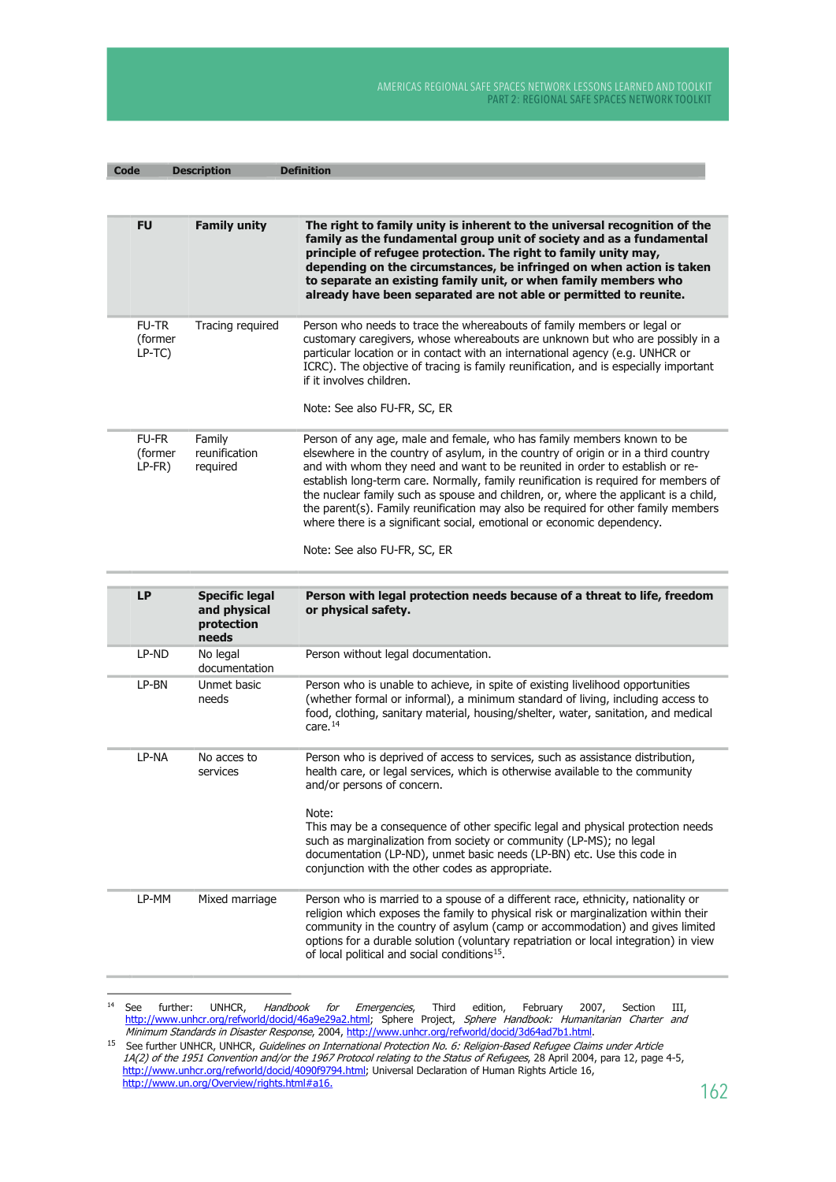| <b>Code</b>                         | <b>Description</b>                                           | <b>Definition</b>                                                                                                                                                                                                                                                                                                                                                                                                                                                                                                                                                                                                         |
|-------------------------------------|--------------------------------------------------------------|---------------------------------------------------------------------------------------------------------------------------------------------------------------------------------------------------------------------------------------------------------------------------------------------------------------------------------------------------------------------------------------------------------------------------------------------------------------------------------------------------------------------------------------------------------------------------------------------------------------------------|
|                                     |                                                              |                                                                                                                                                                                                                                                                                                                                                                                                                                                                                                                                                                                                                           |
| <b>FU</b>                           | <b>Family unity</b>                                          | The right to family unity is inherent to the universal recognition of the<br>family as the fundamental group unit of society and as a fundamental<br>principle of refugee protection. The right to family unity may,<br>depending on the circumstances, be infringed on when action is taken<br>to separate an existing family unit, or when family members who<br>already have been separated are not able or permitted to reunite.                                                                                                                                                                                      |
| <b>FU-TR</b><br>(former<br>$LP-TC$  | Tracing required                                             | Person who needs to trace the whereabouts of family members or legal or<br>customary caregivers, whose whereabouts are unknown but who are possibly in a<br>particular location or in contact with an international agency (e.g. UNHCR or<br>ICRC). The objective of tracing is family reunification, and is especially important<br>if it involves children.<br>Note: See also FU-FR, SC, ER                                                                                                                                                                                                                             |
| <b>FU-FR</b><br>(former<br>$LP-FR)$ | Family<br>reunification<br>required                          | Person of any age, male and female, who has family members known to be<br>elsewhere in the country of asylum, in the country of origin or in a third country<br>and with whom they need and want to be reunited in order to establish or re-<br>establish long-term care. Normally, family reunification is required for members of<br>the nuclear family such as spouse and children, or, where the applicant is a child,<br>the parent(s). Family reunification may also be required for other family members<br>where there is a significant social, emotional or economic dependency.<br>Note: See also FU-FR, SC, ER |
| LP                                  | <b>Specific legal</b><br>and physical<br>protection<br>needs | Person with legal protection needs because of a threat to life, freedom<br>or physical safety.                                                                                                                                                                                                                                                                                                                                                                                                                                                                                                                            |
| LP-ND                               | No legal<br>documentation                                    | Person without legal documentation.                                                                                                                                                                                                                                                                                                                                                                                                                                                                                                                                                                                       |
| LP-BN                               | Unmet basic<br>needs                                         | Person who is unable to achieve, in spite of existing livelihood opportunities<br>(whether formal or informal), a minimum standard of living, including access to<br>food, clothing, sanitary material, housing/shelter, water, sanitation, and medical<br>care. $14$                                                                                                                                                                                                                                                                                                                                                     |
| LP-NA                               | No acces to<br>services                                      | Person who is deprived of access to services, such as assistance distribution,<br>health care, or legal services, which is otherwise available to the community<br>and/or persons of concern.<br>Note:<br>This may be a consequence of other specific legal and physical protection needs<br>such as marginalization from society or community (LP-MS); no legal<br>documentation (LP-ND), unmet basic needs (LP-BN) etc. Use this code in<br>conjunction with the other codes as appropriate.                                                                                                                            |
| LP-MM                               | Mixed marriage                                               | Person who is married to a spouse of a different race, ethnicity, nationality or<br>religion which exposes the family to physical risk or marginalization within their<br>community in the country of asylum (camp or accommodation) and gives limited<br>options for a durable solution (voluntary repatriation or local integration) in view<br>of local political and social conditions <sup>15</sup> .                                                                                                                                                                                                                |

 $14\,$ See further: UNHCR, *Handbook for Emergencies*, Third edition, February 2007, Section III, http://www.unhcr.org/refworld/docid/46a9e29a2.html; Sphere Project, *Sphere Handbook: Humanitarian Charter and* Minimum Standards i

<sup>15</sup> See further UNHCR, UNHCR, Guidelines on International Protection No. 6: Religion-Based Refugee Claims under Article<br>14(2) of the 1951 Convention and/or the 1967 Protocol relating to the Status of Refugees, 28 April 2004 http://www.un.org/Overview/rights.html#a16.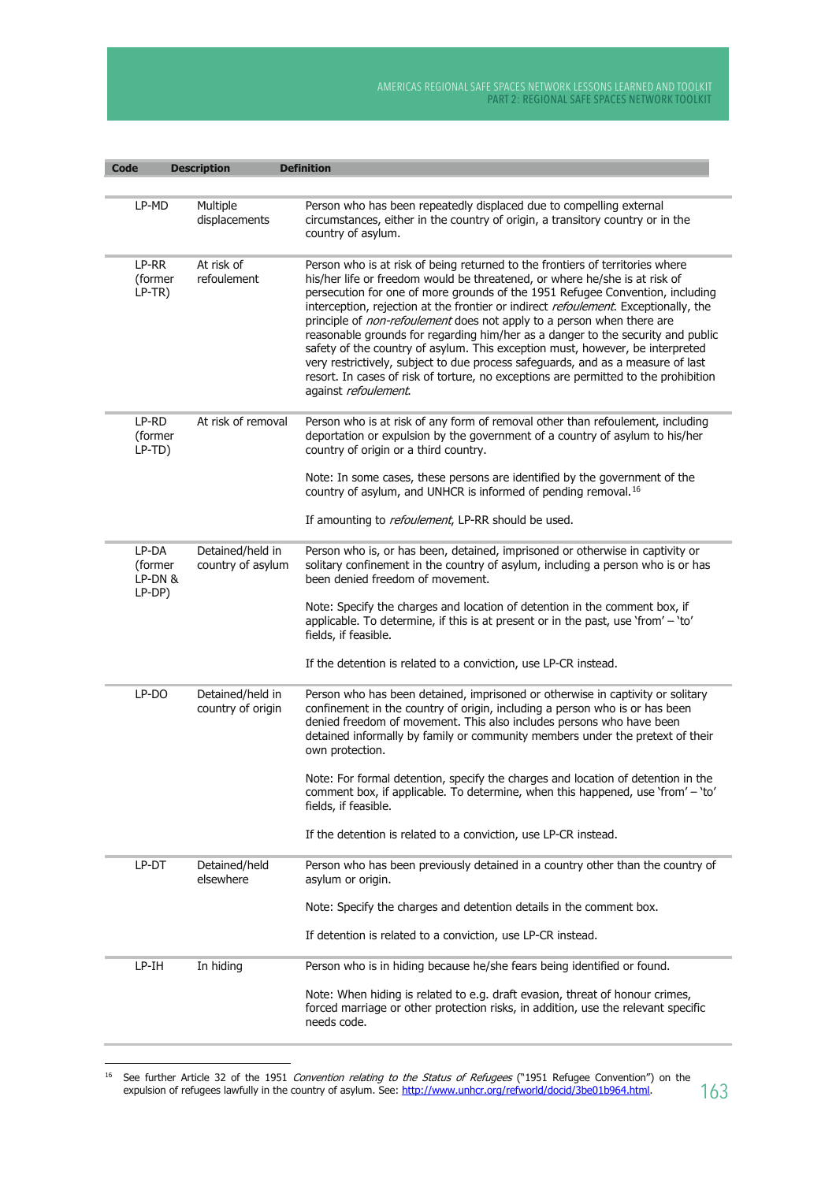| <b>Code</b>                           | <b>Description</b>                    | <b>Definition</b>                                                                                                                                                                                                                                                                                                                                                                                                                                                                                                                                                                                                                                                                                                                                                                   |
|---------------------------------------|---------------------------------------|-------------------------------------------------------------------------------------------------------------------------------------------------------------------------------------------------------------------------------------------------------------------------------------------------------------------------------------------------------------------------------------------------------------------------------------------------------------------------------------------------------------------------------------------------------------------------------------------------------------------------------------------------------------------------------------------------------------------------------------------------------------------------------------|
|                                       |                                       |                                                                                                                                                                                                                                                                                                                                                                                                                                                                                                                                                                                                                                                                                                                                                                                     |
| LP-MD                                 | Multiple<br>displacements             | Person who has been repeatedly displaced due to compelling external<br>circumstances, either in the country of origin, a transitory country or in the<br>country of asylum.                                                                                                                                                                                                                                                                                                                                                                                                                                                                                                                                                                                                         |
| LP-RR<br>(former<br>$LP-TR)$          | At risk of<br>refoulement             | Person who is at risk of being returned to the frontiers of territories where<br>his/her life or freedom would be threatened, or where he/she is at risk of<br>persecution for one of more grounds of the 1951 Refugee Convention, including<br>interception, rejection at the frontier or indirect refoulement. Exceptionally, the<br>principle of non-refoulement does not apply to a person when there are<br>reasonable grounds for regarding him/her as a danger to the security and public<br>safety of the country of asylum. This exception must, however, be interpreted<br>very restrictively, subject to due process safeguards, and as a measure of last<br>resort. In cases of risk of torture, no exceptions are permitted to the prohibition<br>against refoulement. |
| LP-RD<br>(former<br>LP-TD)            | At risk of removal                    | Person who is at risk of any form of removal other than refoulement, including<br>deportation or expulsion by the government of a country of asylum to his/her<br>country of origin or a third country.                                                                                                                                                                                                                                                                                                                                                                                                                                                                                                                                                                             |
|                                       |                                       | Note: In some cases, these persons are identified by the government of the<br>country of asylum, and UNHCR is informed of pending removal. <sup>16</sup>                                                                                                                                                                                                                                                                                                                                                                                                                                                                                                                                                                                                                            |
|                                       |                                       | If amounting to <i>refoulement</i> , LP-RR should be used.                                                                                                                                                                                                                                                                                                                                                                                                                                                                                                                                                                                                                                                                                                                          |
| LP-DA<br>(former<br>LP-DN &<br>LP-DP) | Detained/held in<br>country of asylum | Person who is, or has been, detained, imprisoned or otherwise in captivity or<br>solitary confinement in the country of asylum, including a person who is or has<br>been denied freedom of movement.                                                                                                                                                                                                                                                                                                                                                                                                                                                                                                                                                                                |
|                                       |                                       | Note: Specify the charges and location of detention in the comment box, if<br>applicable. To determine, if this is at present or in the past, use 'from' - 'to'<br>fields, if feasible.                                                                                                                                                                                                                                                                                                                                                                                                                                                                                                                                                                                             |
|                                       |                                       | If the detention is related to a conviction, use LP-CR instead.                                                                                                                                                                                                                                                                                                                                                                                                                                                                                                                                                                                                                                                                                                                     |
| LP-DO                                 | Detained/held in<br>country of origin | Person who has been detained, imprisoned or otherwise in captivity or solitary<br>confinement in the country of origin, including a person who is or has been<br>denied freedom of movement. This also includes persons who have been<br>detained informally by family or community members under the pretext of their<br>own protection.                                                                                                                                                                                                                                                                                                                                                                                                                                           |
|                                       |                                       | Note: For formal detention, specify the charges and location of detention in the<br>comment box, if applicable. To determine, when this happened, use 'from' - 'to'<br>fields, if feasible.                                                                                                                                                                                                                                                                                                                                                                                                                                                                                                                                                                                         |
|                                       |                                       | If the detention is related to a conviction, use LP-CR instead.                                                                                                                                                                                                                                                                                                                                                                                                                                                                                                                                                                                                                                                                                                                     |
| LP-DT                                 | Detained/held<br>elsewhere            | Person who has been previously detained in a country other than the country of<br>asylum or origin.                                                                                                                                                                                                                                                                                                                                                                                                                                                                                                                                                                                                                                                                                 |
|                                       |                                       | Note: Specify the charges and detention details in the comment box.                                                                                                                                                                                                                                                                                                                                                                                                                                                                                                                                                                                                                                                                                                                 |
|                                       |                                       | If detention is related to a conviction, use LP-CR instead.                                                                                                                                                                                                                                                                                                                                                                                                                                                                                                                                                                                                                                                                                                                         |
| LP-IH                                 | In hiding                             | Person who is in hiding because he/she fears being identified or found.                                                                                                                                                                                                                                                                                                                                                                                                                                                                                                                                                                                                                                                                                                             |
|                                       |                                       | Note: When hiding is related to e.g. draft evasion, threat of honour crimes,<br>forced marriage or other protection risks, in addition, use the relevant specific<br>needs code.                                                                                                                                                                                                                                                                                                                                                                                                                                                                                                                                                                                                    |

<sup>16</sup> See further Article 32 of the 1951 Convention relating to the Status of Refugees ("1951 Refugee Convention") on the expulsion of refugees lawfully in the country of asylum. See: http://www.unhcr.org/refworld/docid/3be01b964.html.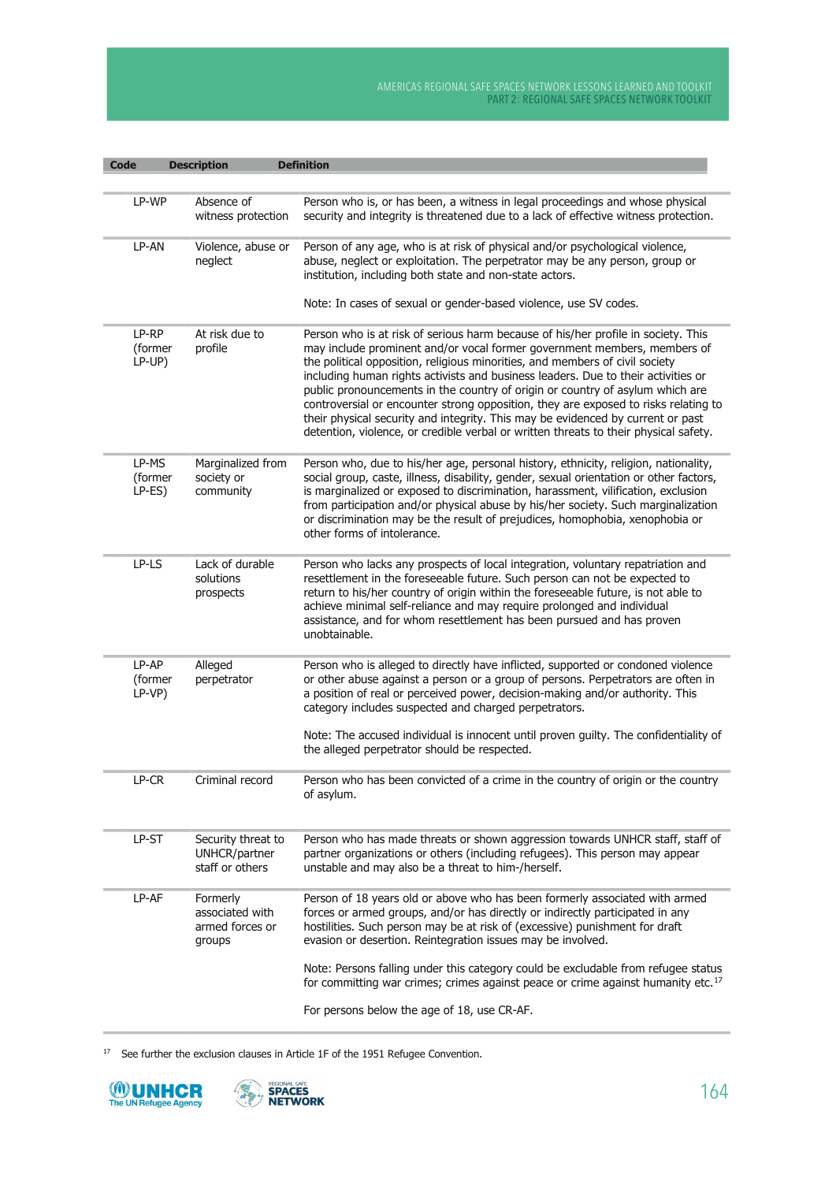| <b>Code</b>                | <b>Description</b>                                       | <b>Definition</b>                                                                                                                                                                                                                                                                                                                                                                                                                                                                                                                                                                                                                                                                     |
|----------------------------|----------------------------------------------------------|---------------------------------------------------------------------------------------------------------------------------------------------------------------------------------------------------------------------------------------------------------------------------------------------------------------------------------------------------------------------------------------------------------------------------------------------------------------------------------------------------------------------------------------------------------------------------------------------------------------------------------------------------------------------------------------|
|                            |                                                          |                                                                                                                                                                                                                                                                                                                                                                                                                                                                                                                                                                                                                                                                                       |
| LP-WP                      | Absence of<br>witness protection                         | Person who is, or has been, a witness in legal proceedings and whose physical<br>security and integrity is threatened due to a lack of effective witness protection.                                                                                                                                                                                                                                                                                                                                                                                                                                                                                                                  |
| LP-AN                      | Violence, abuse or<br>neglect                            | Person of any age, who is at risk of physical and/or psychological violence,<br>abuse, neglect or exploitation. The perpetrator may be any person, group or<br>institution, including both state and non-state actors.<br>Note: In cases of sexual or gender-based violence, use SV codes.                                                                                                                                                                                                                                                                                                                                                                                            |
| LP-RP<br>(former<br>LP-UP) | At risk due to<br>profile                                | Person who is at risk of serious harm because of his/her profile in society. This<br>may include prominent and/or vocal former government members, members of<br>the political opposition, religious minorities, and members of civil society<br>including human rights activists and business leaders. Due to their activities or<br>public pronouncements in the country of origin or country of asylum which are<br>controversial or encounter strong opposition, they are exposed to risks relating to<br>their physical security and integrity. This may be evidenced by current or past<br>detention, violence, or credible verbal or written threats to their physical safety. |
| LP-MS<br>(former<br>LP-ES) | Marginalized from<br>society or<br>community             | Person who, due to his/her age, personal history, ethnicity, religion, nationality,<br>social group, caste, illness, disability, gender, sexual orientation or other factors,<br>is marginalized or exposed to discrimination, harassment, vilification, exclusion<br>from participation and/or physical abuse by his/her society. Such marginalization<br>or discrimination may be the result of prejudices, homophobia, xenophobia or<br>other forms of intolerance.                                                                                                                                                                                                                |
| LP-LS                      | Lack of durable<br>solutions<br>prospects                | Person who lacks any prospects of local integration, voluntary repatriation and<br>resettlement in the foreseeable future. Such person can not be expected to<br>return to his/her country of origin within the foreseeable future, is not able to<br>achieve minimal self-reliance and may require prolonged and individual<br>assistance, and for whom resettlement has been pursued and has proven<br>unobtainable.                                                                                                                                                                                                                                                                |
| LP-AP<br>(former<br>LP-VP) | Alleged<br>perpetrator                                   | Person who is alleged to directly have inflicted, supported or condoned violence<br>or other abuse against a person or a group of persons. Perpetrators are often in<br>a position of real or perceived power, decision-making and/or authority. This<br>category includes suspected and charged perpetrators.                                                                                                                                                                                                                                                                                                                                                                        |
|                            |                                                          | Note: The accused individual is innocent until proven guilty. The confidentiality of<br>the alleged perpetrator should be respected.                                                                                                                                                                                                                                                                                                                                                                                                                                                                                                                                                  |
| LP-CR                      | Criminal record                                          | Person who has been convicted of a crime in the country of origin or the country<br>of asylum.                                                                                                                                                                                                                                                                                                                                                                                                                                                                                                                                                                                        |
| LP-ST                      | Security threat to<br>UNHCR/partner<br>staff or others   | Person who has made threats or shown aggression towards UNHCR staff, staff of<br>partner organizations or others (including refugees). This person may appear<br>unstable and may also be a threat to him-/herself.                                                                                                                                                                                                                                                                                                                                                                                                                                                                   |
| LP-AF                      | Formerly<br>associated with<br>armed forces or<br>groups | Person of 18 years old or above who has been formerly associated with armed<br>forces or armed groups, and/or has directly or indirectly participated in any<br>hostilities. Such person may be at risk of (excessive) punishment for draft<br>evasion or desertion. Reintegration issues may be involved.                                                                                                                                                                                                                                                                                                                                                                            |
|                            |                                                          | Note: Persons falling under this category could be excludable from refugee status<br>for committing war crimes; crimes against peace or crime against humanity etc. <sup>17</sup>                                                                                                                                                                                                                                                                                                                                                                                                                                                                                                     |
|                            |                                                          | For persons below the age of 18, use CR-AF.                                                                                                                                                                                                                                                                                                                                                                                                                                                                                                                                                                                                                                           |

<sup>17</sup> See further the exclusion clauses in Article 1F of the 1951 Refugee Convention.